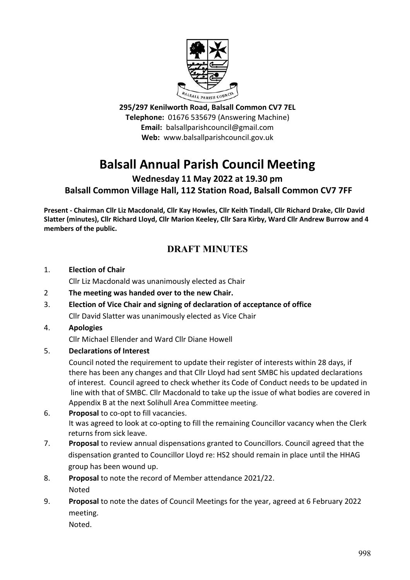

**295/297 Kenilworth Road, Balsall Common CV7 7EL Telephone:** 01676 535679 (Answering Machine) **Email:** balsallparishcouncil@gmail.com **Web:** www.balsallparishcouncil.gov.uk

# **Balsall Annual Parish Council Meeting**

**Wednesday 11 May 2022 at 19.30 pm Balsall Common Village Hall, 112 Station Road, Balsall Common CV7 7FF**

**Present - Chairman Cllr Liz Macdonald, Cllr Kay Howles, Cllr Keith Tindall, Cllr Richard Drake, Cllr David Slatter (minutes), Cllr Richard Lloyd, Cllr Marion Keeley, Cllr Sara Kirby, Ward Cllr Andrew Burrow and 4 members of the public.** 

# **DRAFT MINUTES**

#### 1. **Election of Chair**

Cllr Liz Macdonald was unanimously elected as Chair

- 2 **The meeting was handed over to the new Chair.**
- 3. **Election of Vice Chair and signing of declaration of acceptance of office** Cllr David Slatter was unanimously elected as Vice Chair

# 4. **Apologies**

Cllr Michael Ellender and Ward Cllr Diane Howell

5. **Declarations of Interest**

Council noted the requirement to update their register of interests within 28 days, if there has been any changes and that Cllr Lloyd had sent SMBC his updated declarations of interest. Council agreed to check whether its Code of Conduct needs to be updated in line with that of SMBC. Cllr Macdonald to take up the issue of what bodies are covered in Appendix B at the next Solihull Area Committee meeting.

- 6. **Proposal** to co-opt to fill vacancies. It was agreed to look at co-opting to fill the remaining Councillor vacancy when the Clerk returns from sick leave.
- 7. **Proposal** to review annual dispensations granted to Councillors. Council agreed that the dispensation granted to Councillor Lloyd re: HS2 should remain in place until the HHAG group has been wound up.
- 8. **Proposal** to note the record of Member attendance 2021/22. Noted
- 9. **Proposal** to note the dates of Council Meetings for the year, agreed at 6 February 2022 meeting.

Noted.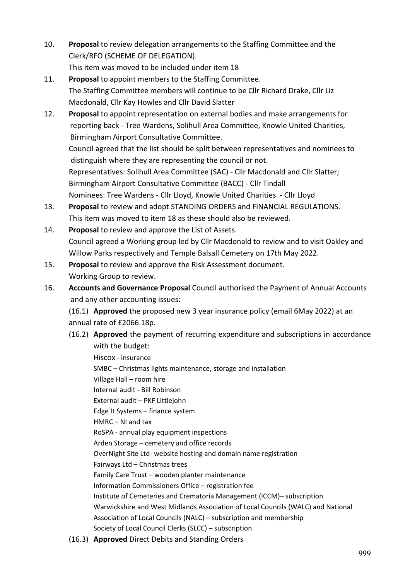- 10. **Proposal** to review delegation arrangements to the Staffing Committee and the Clerk/RFO (SCHEME OF DELEGATION). This item was moved to be included under item 18
- 11. **Proposal** to appoint members to the Staffing Committee. The Staffing Committee members will continue to be Cllr Richard Drake, Cllr Liz Macdonald, Cllr Kay Howles and Cllr David Slatter
- 12. **Proposal** to appoint representation on external bodies and make arrangements for reporting back - Tree Wardens, Solihull Area Committee, Knowle United Charities, Birmingham Airport Consultative Committee. Council agreed that the list should be split between representatives and nominees to distinguish where they are representing the council or not. Representatives: Solihull Area Committee (SAC) - Cllr Macdonald and Cllr Slatter; Birmingham Airport Consultative Committee (BACC) - Cllr Tindall Nominees: Tree Wardens - Cllr Lloyd, Knowle United Charities - Cllr Lloyd
- 13. **Proposal** to review and adopt STANDING ORDERS and FINANCIAL REGULATIONS. This item was moved to item 18 as these should also be reviewed.
- 14. **Proposal** to review and approve the List of Assets. Council agreed a Working group led by Cllr Macdonald to review and to visit Oakley and Willow Parks respectively and Temple Balsall Cemetery on 17th May 2022.
- 15. **Proposal** to review and approve the Risk Assessment document. Working Group to review.
- 16. **Accounts and Governance Proposal** Council authorised the Payment of Annual Accounts and any other accounting issues:

(16.1) **Approved** the proposed new 3 year insurance policy (email 6May 2022) at an annual rate of £2066.18p.

(16.2) **Approved** the payment of recurring expenditure and subscriptions in accordance with the budget:

Hiscox - insurance SMBC – Christmas lights maintenance, storage and installation Village Hall – room hire Internal audit - Bill Robinson External audit – PKF Littlejohn Edge It Systems – finance system HMRC – NI and tax RoSPA - annual play equipment inspections Arden Storage – cemetery and office records OverNight Site Ltd- website hosting and domain name registration Fairways Ltd – Christmas trees Family Care Trust – wooden planter maintenance Information Commissioners Office – registration fee Institute of Cemeteries and Crematoria Management (ICCM)– subscription Warwickshire and West Midlands Association of Local Councils (WALC) and National Association of Local Councils (NALC) – subscription and membership Society of Local Council Clerks (SLCC) – subscription.

(16.3) **Approved** Direct Debits and Standing Orders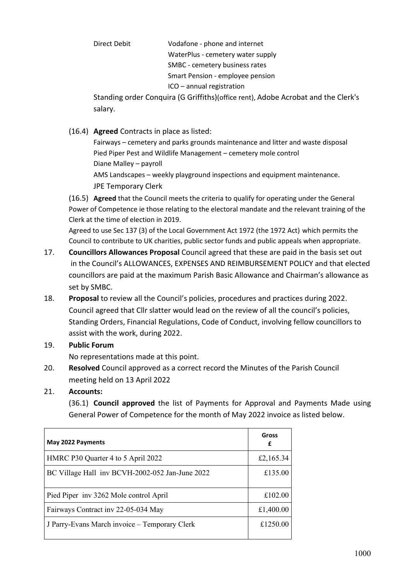Direct Debit Vodafone - phone and internet WaterPlus - cemetery water supply SMBC - cemetery business rates Smart Pension - employee pension ICO – annual registration

Standing order Conquira (G Griffiths)(office rent), Adobe Acrobat and the Clerk's salary.

(16.4) **Agreed** Contracts in place as listed:

Fairways – cemetery and parks grounds maintenance and litter and waste disposal Pied Piper Pest and Wildlife Management – cemetery mole control Diane Malley – payroll AMS Landscapes – weekly playground inspections and equipment maintenance. JPE Temporary Clerk

(16.5) **Agreed** that the Council meets the criteria to qualify for operating under the General Power of Competence ie those relating to the electoral mandate and the relevant training of the Clerk at the time of election in 2019.

 Agreed to use Sec 137 (3) of the Local Government Act 1972 (the 1972 Act) which permits the Council to contribute to UK charities, public sector funds and public appeals when appropriate.

- 17. **Councillors Allowances Proposal** Council agreed that these are paid in the basis set out in the Council's ALLOWANCES, EXPENSES AND REIMBURSEMENT POLICY and that elected councillors are paid at the maximum Parish Basic Allowance and Chairman's allowance as set by SMBC.
- 18. **Proposal** to review all the Council's policies, procedures and practices during 2022. Council agreed that Cllr slatter would lead on the review of all the council's policies, Standing Orders, Financial Regulations, Code of Conduct, involving fellow councillors to assist with the work, during 2022.
- 19. **Public Forum**

No representations made at this point.

- 20. **Resolved** Council approved as a correct record the Minutes of the Parish Council meeting held on 13 April 2022
- 21. **Accounts:**

(36.1) **Council approved** the list of Payments for Approval and Payments Made using General Power of Competence for the month of May 2022 invoice as listed below.

| May 2022 Payments                               | Gross<br>£ |
|-------------------------------------------------|------------|
| HMRC P30 Quarter 4 to 5 April 2022              | £2,165.34  |
| BC Village Hall inv BCVH-2002-052 Jan-June 2022 | £135.00    |
| Pied Piper inv 3262 Mole control April          | £102.00    |
| Fairways Contract inv 22-05-034 May             | £1,400.00  |
| J Parry-Evans March invoice – Temporary Clerk   | £1250.00   |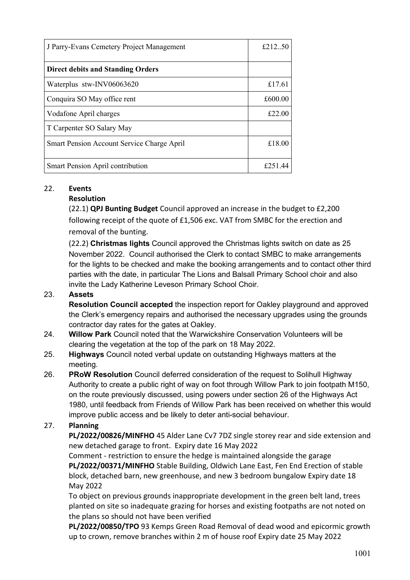| J Parry-Evans Cemetery Project Management  | £212.50 |
|--------------------------------------------|---------|
| <b>Direct debits and Standing Orders</b>   |         |
| Waterplus stw-INV06063620                  | £17.61  |
| Conquira SO May office rent                | £600.00 |
| Vodafone April charges                     | £22.00  |
| T Carpenter SO Salary May                  |         |
| Smart Pension Account Service Charge April | £18.00  |
| Smart Pension April contribution           | £251.44 |

### 22. **Events**

### **Resolution**

(22.1) **QPJ Bunting Budget** Council approved an increase in the budget to £2,200 following receipt of the quote of £1,506 exc. VAT from SMBC for the erection and removal of the bunting.

(22.2) **Christmas lights** Council approved the Christmas lights switch on date as 25 November 2022. Council authorised the Clerk to contact SMBC to make arrangements for the lights to be checked and make the booking arrangements and to contact other third parties with the date, in particular The Lions and Balsall Primary School choir and also invite the Lady Katherine Leveson Primary School Choir.

#### 23. **Assets**

**Resolution Council accepted** the inspection report for Oakley playground and approved the Clerk's emergency repairs and authorised the necessary upgrades using the grounds contractor day rates for the gates at Oakley.

- 24. **Willow Park** Council noted that the Warwickshire Conservation Volunteers will be clearing the vegetation at the top of the park on 18 May 2022.
- 25. **Highways** Council noted verbal update on outstanding Highways matters at the meeting.
- 26. **PRoW Resolution** Council deferred consideration of the request to Solihull Highway Authority to create a public right of way on foot through Willow Park to join footpath M150, on the route previously discussed, using powers under section 26 of the Highways Act 1980, until feedback from Friends of Willow Park has been received on whether this would improve public access and be likely to deter anti-social behaviour.

# 27. **Planning**

 **PL/2022/00826/MINFHO** 45 Alder Lane Cv7 7DZ single storey rear and side extension and new detached garage to front. Expiry date 16 May 2022

Comment - restriction to ensure the hedge is maintained alongside the garage **PL/2022/00371/MINFHO** Stable Building, Oldwich Lane East, Fen End Erection of stable block, detached barn, new greenhouse, and new 3 bedroom bungalow Expiry date 18 May 2022

To object on previous grounds inappropriate development in the green belt land, trees planted on site so inadequate grazing for horses and existing footpaths are not noted on the plans so should not have been verified

**PL/2022/00850/TPO** 93 Kemps Green Road Removal of dead wood and epicormic growth up to crown, remove branches within 2 m of house roof Expiry date 25 May 2022